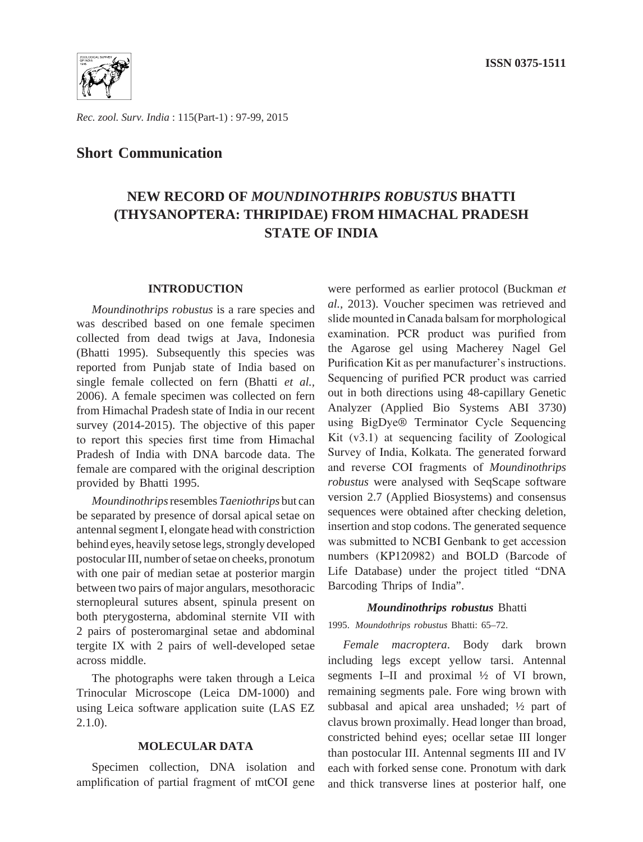

*Rec. zool. Surv. India* : 115(Part-1) : 97-99, 2015

# **Short Communication**

# **NEW RECORD OF** *MOUNDINOTHRIPS ROBUSTUS* **BHATTI (THYSANOPTERA: THRIPIDAE) FROM HIMACHAL PRADESH STATE OF INDIA**

#### **INTRODUCTION**

*Moundinothrips robustus* is a rare species and was described based on one female specimen collected from dead twigs at Java, Indonesia (Bhatti 1995). Subsequently this species was reported from Punjab state of India based on single female collected on fern (Bhatti *et al.,* 2006). A female specimen was collected on fern from Himachal Pradesh state of India in our recent survey (2014-2015). The objective of this paper to report this species first time from Himachal Pradesh of India with DNA barcode data. The female are compared with the original description provided by Bhatti 1995.

*Moundinothrips* resembles *Taeniothrips* but can be separated by presence of dorsal apical setae on antennal segment I, elongate head with constriction behind eyes, heavily setose legs, strongly developed postocular III, number of setae on cheeks, pronotum with one pair of median setae at posterior margin between two pairs of major angulars, mesothoracic sternopleural sutures absent, spinula present on both pterygosterna, abdominal sternite VII with 2 pairs of posteromarginal setae and abdominal tergite IX with 2 pairs of well-developed setae across middle.

The photographs were taken through a Leica Trinocular Microscope (Leica DM-1000) and using Leica software application suite (LAS EZ 2.1.0).

#### **MOLECULAR DATA**

Specimen collection, DNA isolation and amplification of partial fragment of mtCOI gene were performed as earlier protocol (Buckman *et al.,* 2013). Voucher specimen was retrieved and slide mounted in Canada balsam for morphological examination. PCR product was purified from the Agarose gel using Macherey Nagel Gel Purification Kit as per manufacturer's instructions. Sequencing of purified PCR product was carried out in both directions using 48-capillary Genetic Analyzer (Applied Bio Systems ABI 3730) using BigDye® Terminator Cycle Sequencing Kit (v3.1) at sequencing facility of Zoological Survey of India, Kolkata. The generated forward and reverse COI fragments of *Moundinothrips robustus* were analysed with SeqScape software version 2.7 (Applied Biosystems) and consensus sequences were obtained after checking deletion, insertion and stop codons. The generated sequence was submitted to NCBI Genbank to get accession numbers (KP120982) and BOLD (Barcode of Life Database) under the project titled "DNA Barcoding Thrips of India".

### *Moundinothrips robustus* Bhatti

# 1995. *Moundothrips robustus* Bhatti: 65–72.

*Female macroptera*. Body dark brown including legs except yellow tarsi. Antennal segments I–II and proximal ½ of VI brown, remaining segments pale. Fore wing brown with subbasal and apical area unshaded; ½ part of clavus brown proximally. Head longer than broad, constricted behind eyes; ocellar setae III longer than postocular III. Antennal segments III and IV each with forked sense cone. Pronotum with dark and thick transverse lines at posterior half, one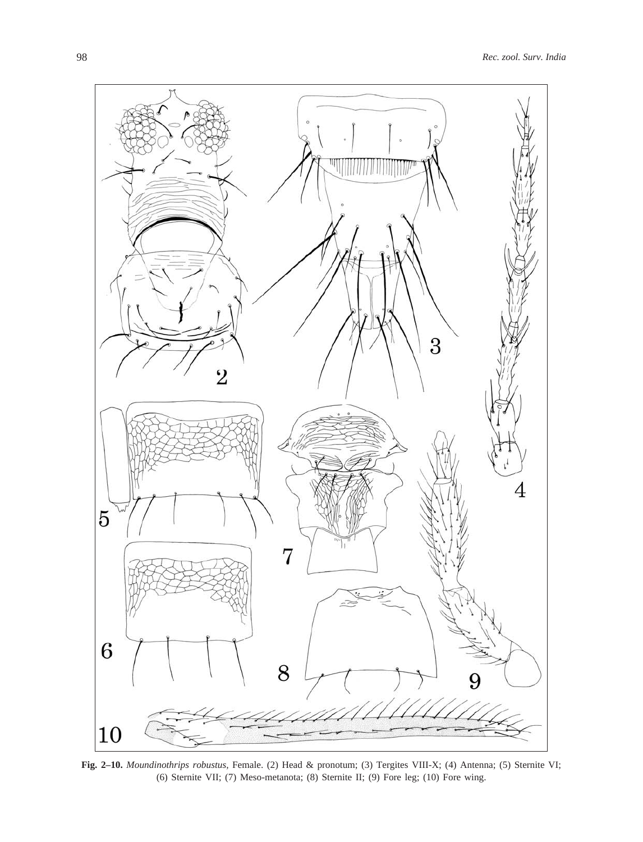

**Fig. 2–10.** *Moundinothrips robustus,* Female. (2) Head & pronotum; (3) Tergites VIII-X; (4) Antenna; (5) Sternite VI; (6) Sternite VII; (7) Meso-metanota; (8) Sternite II; (9) Fore leg; (10) Fore wing.